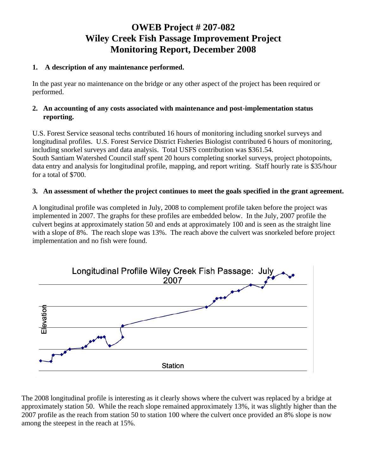# **OWEB Project # 207-082 Wiley Creek Fish Passage Improvement Project Monitoring Report, December 2008**

## **1. A description of any maintenance performed.**

In the past year no maintenance on the bridge or any other aspect of the project has been required or performed.

### **2. An accounting of any costs associated with maintenance and post-implementation status reporting.**

U.S. Forest Service seasonal techs contributed 16 hours of monitoring including snorkel surveys and longitudinal profiles. U.S. Forest Service District Fisheries Biologist contributed 6 hours of monitoring, including snorkel surveys and data analysis. Total USFS contribution was \$361.54. South Santiam Watershed Council staff spent 20 hours completing snorkel surveys, project photopoints, data entry and analysis for longitudinal profile, mapping, and report writing. Staff hourly rate is \$35/hour for a total of \$700.

### **3. An assessment of whether the project continues to meet the goals specified in the grant agreement.**

A longitudinal profile was completed in July, 2008 to complement profile taken before the project was implemented in 2007. The graphs for these profiles are embedded below. In the July, 2007 profile the culvert begins at approximately station 50 and ends at approximately 100 and is seen as the straight line with a slope of 8%. The reach slope was 13%. The reach above the culvert was snorkeled before project implementation and no fish were found.



The 2008 longitudinal profile is interesting as it clearly shows where the culvert was replaced by a bridge at approximately station 50. While the reach slope remained approximately 13%, it was slightly higher than the 2007 profile as the reach from station 50 to station 100 where the culvert once provided an 8% slope is now among the steepest in the reach at 15%.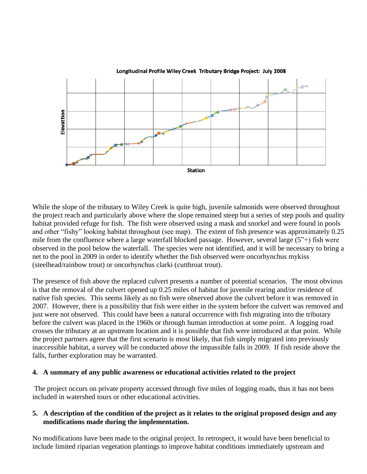

While the slope of the tributary to Wiley Creek is quite high, juvenile salmonids were observed throughout the project reach and particularly above where the slope remained steep but a series of step pools and quality habitat provided refuge for fish. The fish were observed using a mask and snorkel and were found in pools and other "fishy" looking habitat throughout (see map). The extent of fish presence was approximately 0.25 mile from the confluence where a large waterfall blocked passage. However, several large (5"+) fish were observed in the pool below the waterfall. The species were not identified, and it will be necessary to bring a net to the pool in 2009 in order to identify whether the fish observed were oncorhynchus mykiss (steelhead/rainbow trout) or oncorhynchus clarki (cutthroat trout).

The presence of fish above the replaced culvert presents a number of potential scenarios. The most obvious is that the removal of the culvert opened up 0.25 miles of habitat for juvenile rearing and/or residence of native fish species. This seems likely as no fish were observed above the culvert before it was removed in 2007. However, there is a possibility that fish were either in the system before the culvert was removed and just were not observed. This could have been a natural occurrence with fish migrating into the tributary before the culvert was placed in the 1960s or through human introduction at some point. A logging road crosses the tributary at an upstream location and it is possible that fish were introduced at that point. While the project partners agree that the first scenario is most likely, that fish simply migrated into previously inaccessible habitat, a survey will be conducted *above* the impassible falls in 2009. If fish reside above the falls, further exploration may be warranted.

### **4. A summary of any public awareness or educational activities related to the project**

The project occurs on private property accessed through five miles of logging roads, thus it has not been included in watershed tours or other educational activities.

### **5. A description of the condition of the project as it relates to the original proposed design and any modifications made during the implementation.**

No modifications have been made to the original project. In retrospect, it would have been beneficial to include limited riparian vegetation plantings to improve habitat conditions immediately upstream and